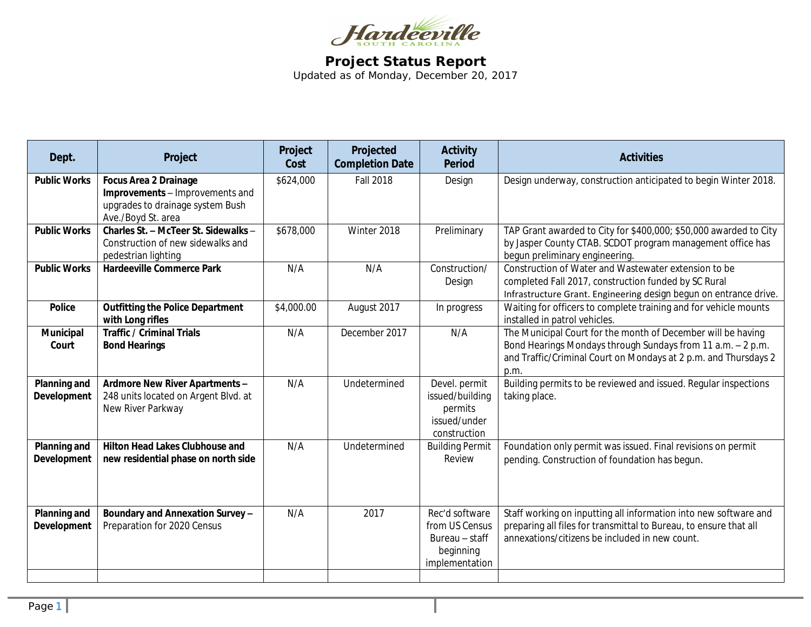

## **Project Status Report** Updated as of Monday, December 20, 2017

| Dept.                                     | Project                                                                                                                   | Project<br>Cost | Projected<br><b>Completion Date</b> | <b>Activity</b><br><b>Period</b>                                                  | <b>Activities</b>                                                                                                                                                                                      |
|-------------------------------------------|---------------------------------------------------------------------------------------------------------------------------|-----------------|-------------------------------------|-----------------------------------------------------------------------------------|--------------------------------------------------------------------------------------------------------------------------------------------------------------------------------------------------------|
| <b>Public Works</b>                       | <b>Focus Area 2 Drainage</b><br>Improvements - Improvements and<br>upgrades to drainage system Bush<br>Ave./Boyd St. area | \$624,000       | <b>Fall 2018</b>                    | Design                                                                            | Design underway, construction anticipated to begin Winter 2018.                                                                                                                                        |
| <b>Public Works</b>                       | Charles St. - McTeer St. Sidewalks -<br>Construction of new sidewalks and<br>pedestrian lighting                          | \$678,000       | Winter 2018                         | Preliminary                                                                       | TAP Grant awarded to City for \$400,000; \$50,000 awarded to City<br>by Jasper County CTAB. SCDOT program management office has<br>begun preliminary engineering.                                      |
| <b>Public Works</b>                       | <b>Hardeeville Commerce Park</b>                                                                                          | N/A             | N/A                                 | Construction/<br>Design                                                           | Construction of Water and Wastewater extension to be<br>completed Fall 2017, construction funded by SC Rural<br>Infrastructure Grant. Engineering design begun on entrance drive.                      |
| <b>Police</b>                             | <b>Outfitting the Police Department</b><br>with Long rifles                                                               | \$4,000.00      | August 2017                         | In progress                                                                       | Waiting for officers to complete training and for vehicle mounts<br>installed in patrol vehicles.                                                                                                      |
| Municipal<br>Court                        | <b>Traffic / Criminal Trials</b><br><b>Bond Hearings</b>                                                                  | N/A             | December 2017                       | N/A                                                                               | The Municipal Court for the month of December will be having<br>Bond Hearings Mondays through Sundays from 11 a.m. - 2 p.m.<br>and Traffic/Criminal Court on Mondays at 2 p.m. and Thursdays 2<br>p.m. |
| <b>Planning and</b><br><b>Development</b> | Ardmore New River Apartments -<br>248 units located on Argent Blvd. at<br>New River Parkway                               | N/A             | Undetermined                        | Devel. permit<br>issued/building<br>permits<br>issued/under<br>construction       | Building permits to be reviewed and issued. Regular inspections<br>taking place.                                                                                                                       |
| <b>Planning and</b><br>Development        | Hilton Head Lakes Clubhouse and<br>new residential phase on north side                                                    | N/A             | Undetermined                        | <b>Building Permit</b><br>Review                                                  | Foundation only permit was issued. Final revisions on permit<br>pending. Construction of foundation has begun.                                                                                         |
| Planning and<br>Development               | Boundary and Annexation Survey -<br>Preparation for 2020 Census                                                           | N/A             | 2017                                | Rec'd software<br>from US Census<br>Bureau - staff<br>beginning<br>implementation | Staff working on inputting all information into new software and<br>preparing all files for transmittal to Bureau, to ensure that all<br>annexations/citizens be included in new count.                |